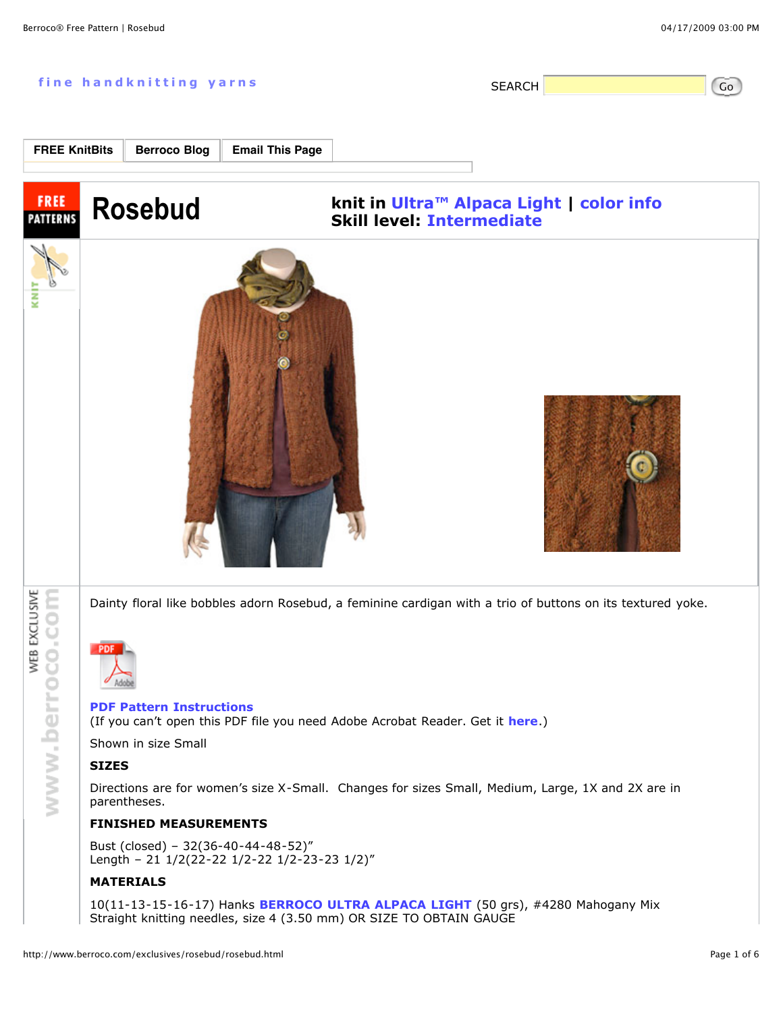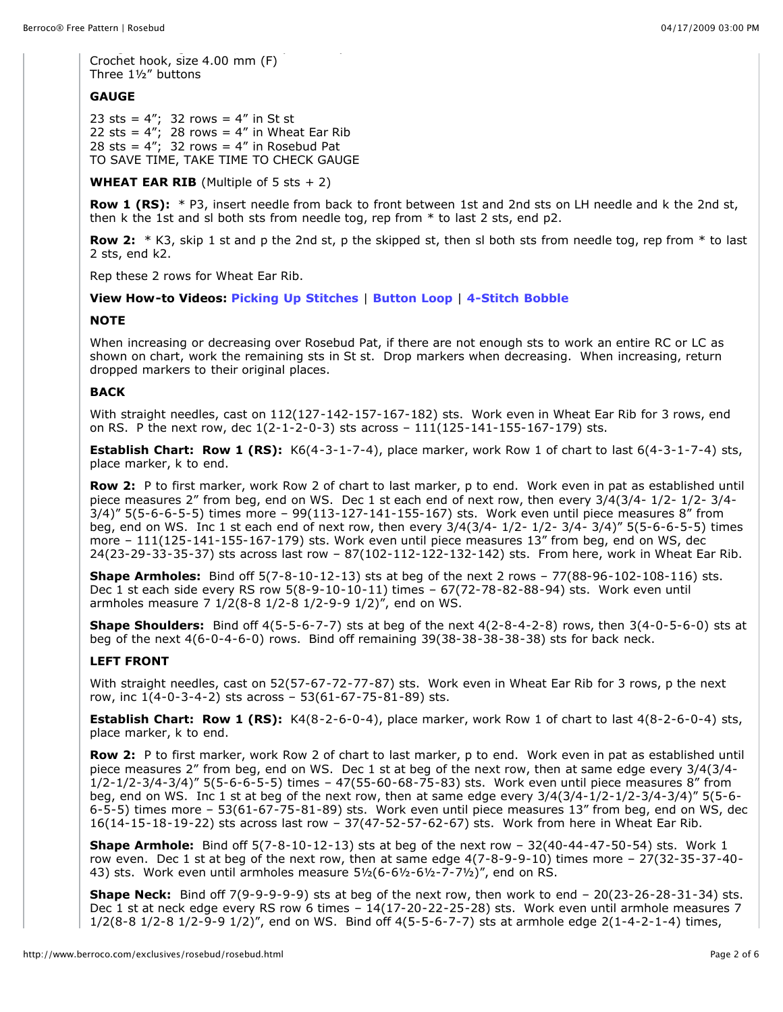Crochet hook, size 4.00 mm (F) Three 1½" buttons

# **GAUGE**

23 sts =  $4''$ ; 32 rows =  $4''$  in St st 22 sts =  $4''$ ; 28 rows =  $4''$  in Wheat Ear Rib 28 sts =  $4^{n'}$ ; 32 rows =  $4^{n}$  in Rosebud Pat TO SAVE TIME, TAKE TIME TO CHECK GAUGE

**WHEAT EAR RIB** (Multiple of 5 sts  $+ 2$ )

**Row 1 (RS):** \* P3, insert needle from back to front between 1st and 2nd sts on LH needle and k the 2nd st, then k the 1st and sl both sts from needle tog, rep from \* to last 2 sts, end p2.

**Row 2:** \* K3, skip 1 st and p the 2nd st, p the skipped st, then sl both sts from needle tog, rep from \* to last 2 sts, end k2.

Rep these 2 rows for Wheat Ear Rib.

**View How-to Videos: Picking Up Stitches** | **Button Loop** | **4-Stitch Bobble**

### **NOTE**

When increasing or decreasing over Rosebud Pat, if there are not enough sts to work an entire RC or LC as shown on chart, work the remaining sts in St st. Drop markers when decreasing. When increasing, return dropped markers to their original places.

## **BACK**

With straight needles, cast on 112(127-142-157-167-182) sts. Work even in Wheat Ear Rib for 3 rows, end on RS. P the next row, dec  $1(2-1-2-0-3)$  sts across  $-111(125-141-155-167-179)$  sts.

**Establish Chart: Row 1 (RS):** K6(4-3-1-7-4), place marker, work Row 1 of chart to last 6(4-3-1-7-4) sts, place marker, k to end.

**Row 2:** P to first marker, work Row 2 of chart to last marker, p to end. Work even in pat as established until piece measures 2" from beg, end on WS. Dec 1 st each end of next row, then every 3/4(3/4- 1/2- 1/2- 3/4- 3/4)" 5(5-6-6-5-5) times more – 99(113-127-141-155-167) sts. Work even until piece measures 8" from beg, end on WS. Inc 1 st each end of next row, then every 3/4(3/4- 1/2- 1/2- 3/4- 3/4)" 5(5-6-6-5-5) times more – 111(125-141-155-167-179) sts. Work even until piece measures 13" from beg, end on WS, dec 24(23-29-33-35-37) sts across last row – 87(102-112-122-132-142) sts. From here, work in Wheat Ear Rib.

**Shape Armholes:** Bind off 5(7-8-10-12-13) sts at beg of the next 2 rows – 77(88-96-102-108-116) sts. Dec 1 st each side every RS row 5(8-9-10-10-11) times – 67(72-78-82-88-94) sts. Work even until armholes measure 7 1/2(8-8 1/2-8 1/2-9-9 1/2)", end on WS.

**Shape Shoulders:** Bind off 4(5-5-6-7-7) sts at beg of the next 4(2-8-4-2-8) rows, then 3(4-0-5-6-0) sts at beg of the next 4(6-0-4-6-0) rows. Bind off remaining 39(38-38-38-38-38) sts for back neck.

### **LEFT FRONT**

With straight needles, cast on 52(57-67-72-77-87) sts. Work even in Wheat Ear Rib for 3 rows, p the next row, inc 1(4-0-3-4-2) sts across – 53(61-67-75-81-89) sts.

**Establish Chart: Row 1 (RS):** K4(8-2-6-0-4), place marker, work Row 1 of chart to last 4(8-2-6-0-4) sts, place marker, k to end.

**Row 2:** P to first marker, work Row 2 of chart to last marker, p to end. Work even in pat as established until piece measures 2" from beg, end on WS. Dec 1 st at beg of the next row, then at same edge every 3/4(3/4- 1/2-1/2-3/4-3/4)" 5(5-6-6-5-5) times – 47(55-60-68-75-83) sts. Work even until piece measures 8" from beg, end on WS. Inc 1 st at beg of the next row, then at same edge every 3/4(3/4-1/2-1/2-3/4-3/4)" 5(5-6- 6-5-5) times more – 53(61-67-75-81-89) sts. Work even until piece measures 13" from beg, end on WS, dec 16(14-15-18-19-22) sts across last row – 37(47-52-57-62-67) sts. Work from here in Wheat Ear Rib.

**Shape Armhole:** Bind off 5(7-8-10-12-13) sts at beg of the next row – 32(40-44-47-50-54) sts. Work 1 row even. Dec 1 st at beg of the next row, then at same edge 4(7-8-9-9-10) times more – 27(32-35-37-40- 43) sts. Work even until armholes measure  $5\frac{1}{2}$  (6-6 $\frac{1}{2}$ -6 $\frac{1}{2}$ -7-7 $\frac{1}{2}$ )", end on RS.

**Shape Neck:** Bind off 7(9-9-9-9-9) sts at beg of the next row, then work to end – 20(23-26-28-31-34) sts. Dec 1 st at neck edge every RS row 6 times – 14(17-20-22-25-28) sts. Work even until armhole measures 7 1/2(8-8 1/2-8 1/2-9-9 1/2)", end on WS. Bind off 4(5-5-6-7-7) sts at armhole edge 2(1-4-2-1-4) times,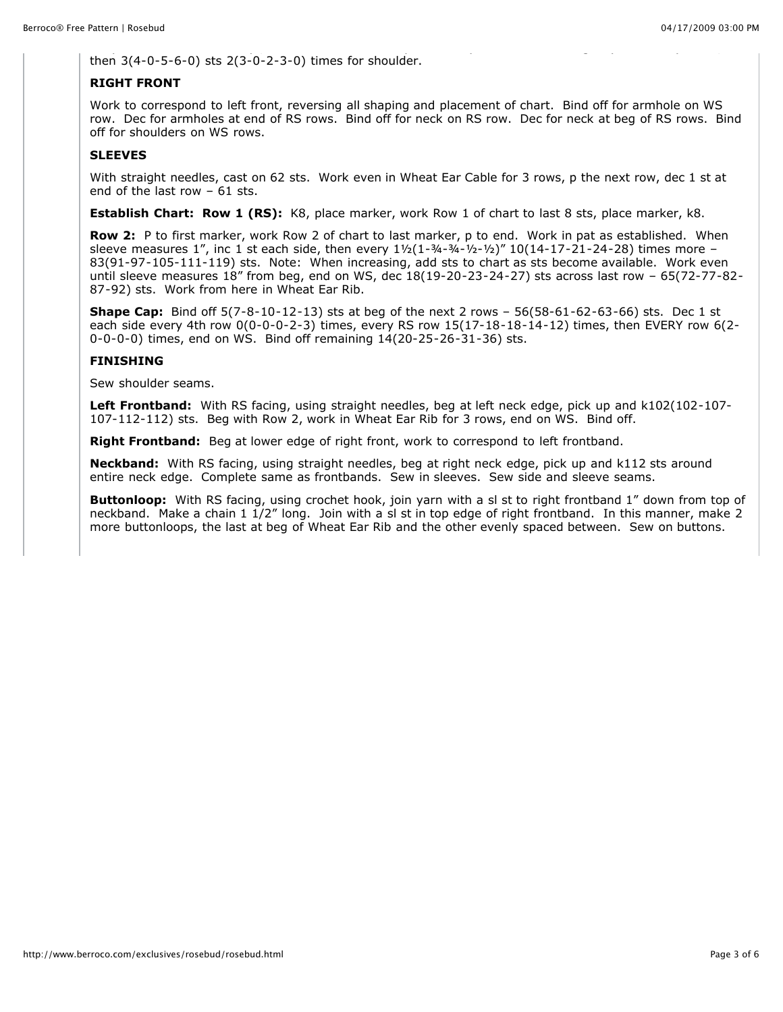then 3(4-0-5-6-0) sts 2(3-0-2-3-0) times for shoulder.

#### **RIGHT FRONT**

Work to correspond to left front, reversing all shaping and placement of chart. Bind off for armhole on WS row. Dec for armholes at end of RS rows. Bind off for neck on RS row. Dec for neck at beg of RS rows. Bind off for shoulders on WS rows.

# **SLEEVES**

With straight needles, cast on 62 sts. Work even in Wheat Ear Cable for 3 rows, p the next row, dec 1 st at end of the last row – 61 sts.

**Establish Chart: Row 1 (RS):** K8, place marker, work Row 1 of chart to last 8 sts, place marker, k8.

**Row 2:** P to first marker, work Row 2 of chart to last marker, p to end. Work in pat as established. When sleeve measures 1", inc 1 st each side, then every  $1\frac{1}{2}(1-\frac{3}{4}-\frac{3}{4}-\frac{1}{2}-\frac{1}{2})$ " 10(14-17-21-24-28) times more – 83(91-97-105-111-119) sts. Note: When increasing, add sts to chart as sts become available. Work even until sleeve measures 18" from beg, end on WS, dec 18(19-20-23-24-27) sts across last row – 65(72-77-82- 87-92) sts. Work from here in Wheat Ear Rib.

**Shape Cap:** Bind off 5(7-8-10-12-13) sts at beg of the next 2 rows – 56(58-61-62-63-66) sts. Dec 1 st each side every 4th row 0(0-0-0-2-3) times, every RS row 15(17-18-18-14-12) times, then EVERY row 6(2- 0-0-0-0) times, end on WS. Bind off remaining 14(20-25-26-31-36) sts.

### **FINISHING**

Sew shoulder seams.

**Left Frontband:** With RS facing, using straight needles, beg at left neck edge, pick up and k102(102-107- 107-112-112) sts. Beg with Row 2, work in Wheat Ear Rib for 3 rows, end on WS. Bind off.

**Right Frontband:** Beg at lower edge of right front, work to correspond to left frontband.

**Neckband:** With RS facing, using straight needles, beg at right neck edge, pick up and k112 sts around entire neck edge. Complete same as frontbands. Sew in sleeves. Sew side and sleeve seams.

**Buttonloop:** With RS facing, using crochet hook, join yarn with a sl st to right frontband 1" down from top of neckband. Make a chain 1 1/2" long. Join with a sl st in top edge of right frontband. In this manner, make 2 more buttonloops, the last at beg of Wheat Ear Rib and the other evenly spaced between. Sew on buttons.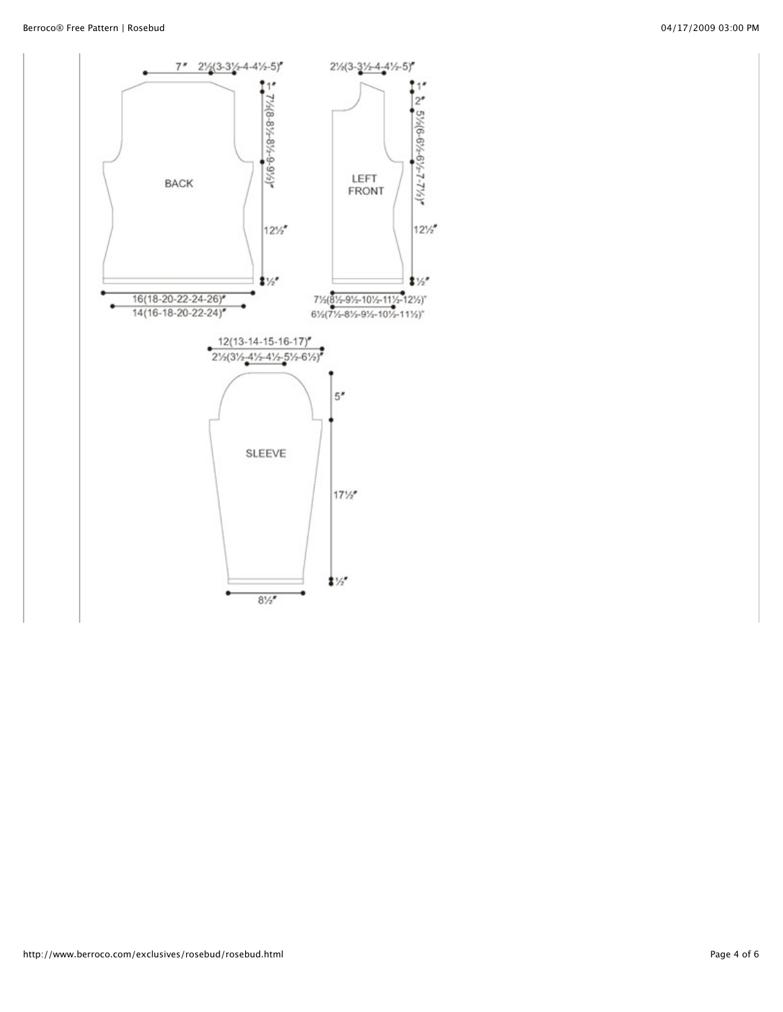